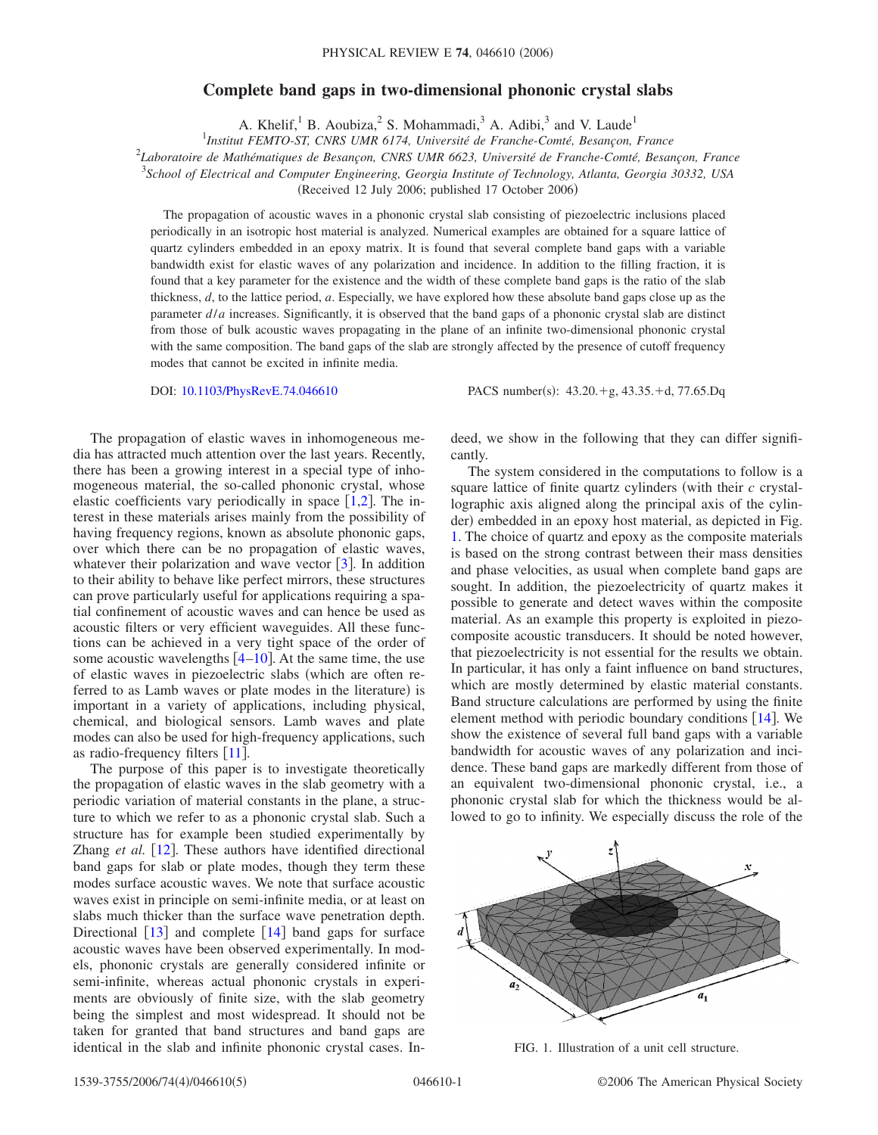## **Complete band gaps in two-dimensional phononic crystal slabs**

A. Khelif, <sup>1</sup> B. Aoubiza, <sup>2</sup> S. Mohammadi, <sup>3</sup> A. Adibi, <sup>3</sup> and V. Laude<sup>1</sup>

1 *Institut FEMTO-ST, CNRS UMR 6174, Université de Franche-Comté, Besançon, France*

2 *Laboratoire de Mathématiques de Besançon, CNRS UMR 6623, Université de Franche-Comté, Besançon, France*

3 *School of Electrical and Computer Engineering, Georgia Institute of Technology, Atlanta, Georgia 30332, USA*

(Received 12 July 2006; published 17 October 2006)

The propagation of acoustic waves in a phononic crystal slab consisting of piezoelectric inclusions placed periodically in an isotropic host material is analyzed. Numerical examples are obtained for a square lattice of quartz cylinders embedded in an epoxy matrix. It is found that several complete band gaps with a variable bandwidth exist for elastic waves of any polarization and incidence. In addition to the filling fraction, it is found that a key parameter for the existence and the width of these complete band gaps is the ratio of the slab thickness, *d*, to the lattice period, *a*. Especially, we have explored how these absolute band gaps close up as the parameter  $d/a$  increases. Significantly, it is observed that the band gaps of a phononic crystal slab are distinct from those of bulk acoustic waves propagating in the plane of an infinite two-dimensional phononic crystal with the same composition. The band gaps of the slab are strongly affected by the presence of cutoff frequency modes that cannot be excited in infinite media.

DOI: [10.1103/PhysRevE.74.046610](http://dx.doi.org/10.1103/PhysRevE.74.046610)

PACS number(s):  $43.20.+g$ ,  $43.35.+d$ ,  $77.65.Dq$ 

The propagation of elastic waves in inhomogeneous media has attracted much attention over the last years. Recently, there has been a growing interest in a special type of inhomogeneous material, the so-called phononic crystal, whose elastic coefficients vary periodically in space  $[1,2]$  $[1,2]$  $[1,2]$  $[1,2]$ . The interest in these materials arises mainly from the possibility of having frequency regions, known as absolute phononic gaps, over which there can be no propagation of elastic waves, whatever their polarization and wave vector  $\lceil 3 \rceil$  $\lceil 3 \rceil$  $\lceil 3 \rceil$ . In addition to their ability to behave like perfect mirrors, these structures can prove particularly useful for applications requiring a spatial confinement of acoustic waves and can hence be used as acoustic filters or very efficient waveguides. All these functions can be achieved in a very tight space of the order of some acoustic wavelengths  $[4–10]$  $[4–10]$  $[4–10]$  $[4–10]$ . At the same time, the use of elastic waves in piezoelectric slabs (which are often referred to as Lamb waves or plate modes in the literature) is important in a variety of applications, including physical, chemical, and biological sensors. Lamb waves and plate modes can also be used for high-frequency applications, such as radio-frequency filters  $[11]$  $[11]$  $[11]$ .

The purpose of this paper is to investigate theoretically the propagation of elastic waves in the slab geometry with a periodic variation of material constants in the plane, a structure to which we refer to as a phononic crystal slab. Such a structure has for example been studied experimentally by Zhang *et al.* [[12](#page-4-2)]. These authors have identified directional band gaps for slab or plate modes, though they term these modes surface acoustic waves. We note that surface acoustic waves exist in principle on semi-infinite media, or at least on slabs much thicker than the surface wave penetration depth. Directional  $[13]$  $[13]$  $[13]$  and complete  $[14]$  $[14]$  $[14]$  band gaps for surface acoustic waves have been observed experimentally. In models, phononic crystals are generally considered infinite or semi-infinite, whereas actual phononic crystals in experiments are obviously of finite size, with the slab geometry being the simplest and most widespread. It should not be taken for granted that band structures and band gaps are identical in the slab and infinite phononic crystal cases. Indeed, we show in the following that they can differ significantly.

The system considered in the computations to follow is a square lattice of finite quartz cylinders (with their *c* crystallographic axis aligned along the principal axis of the cylinder) embedded in an epoxy host material, as depicted in Fig. [1.](#page-0-0) The choice of quartz and epoxy as the composite materials is based on the strong contrast between their mass densities and phase velocities, as usual when complete band gaps are sought. In addition, the piezoelectricity of quartz makes it possible to generate and detect waves within the composite material. As an example this property is exploited in piezocomposite acoustic transducers. It should be noted however, that piezoelectricity is not essential for the results we obtain. In particular, it has only a faint influence on band structures, which are mostly determined by elastic material constants. Band structure calculations are performed by using the finite element method with periodic boundary conditions  $[14]$  $[14]$  $[14]$ . We show the existence of several full band gaps with a variable bandwidth for acoustic waves of any polarization and incidence. These band gaps are markedly different from those of an equivalent two-dimensional phononic crystal, i.e., a phononic crystal slab for which the thickness would be allowed to go to infinity. We especially discuss the role of the

<span id="page-0-0"></span>

FIG. 1. Illustration of a unit cell structure.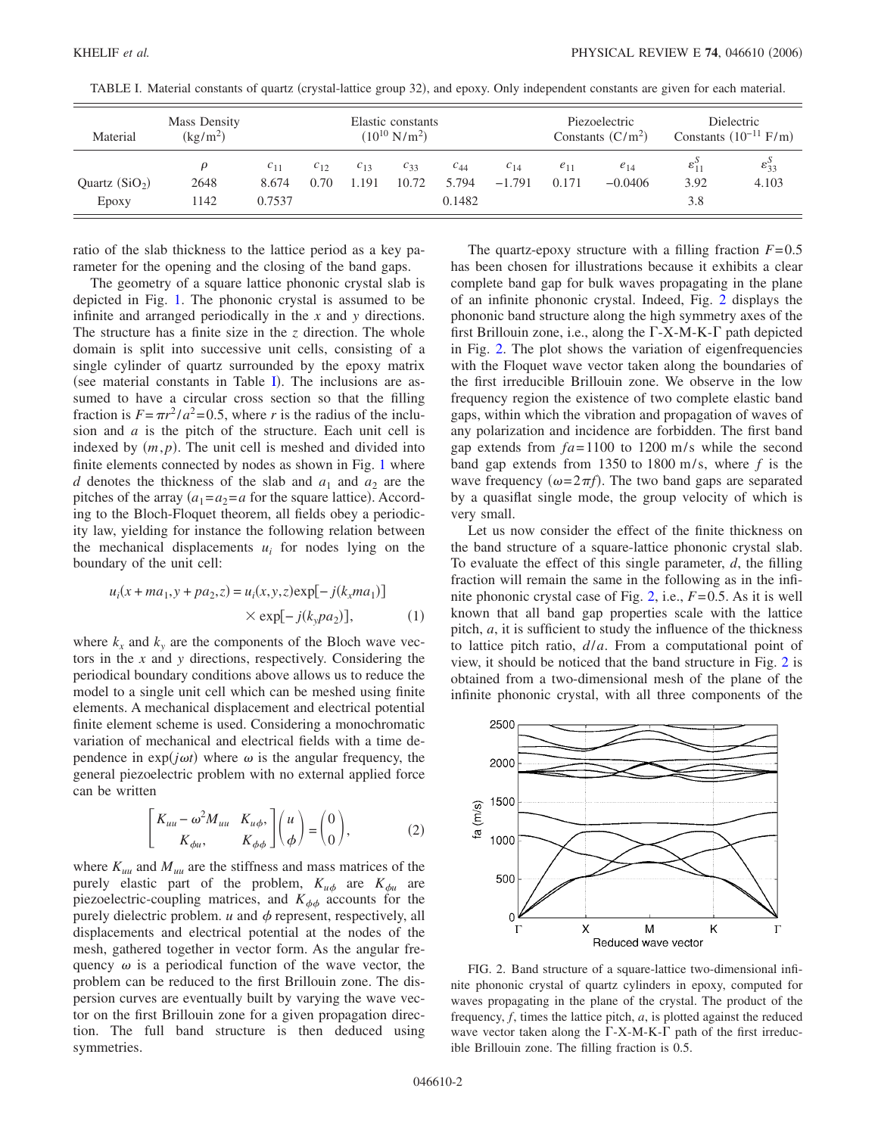<span id="page-1-0"></span>

| Material        | Mass Density<br>(kg/m <sup>2</sup> ) | Elastic constants<br>$(10^{10} \text{ N/m}^2)$ |                  |                   |                   |                   |                      | Piezoelectric<br>Constants $(C/m^2)$ |                       | Dielectric<br>Constants $(10^{-11} \text{ F/m})$ |                                     |
|-----------------|--------------------------------------|------------------------------------------------|------------------|-------------------|-------------------|-------------------|----------------------|--------------------------------------|-----------------------|--------------------------------------------------|-------------------------------------|
| Quartz $(SiO2)$ | 2648                                 | $c_{11}$<br>8.674                              | $c_{12}$<br>0.70 | $c_{13}$<br>1.191 | $c_{33}$<br>10.72 | $c_{44}$<br>5.794 | $c_{14}$<br>$-1.791$ | $e_{11}$<br>0.171                    | $e_{14}$<br>$-0.0406$ | $\varepsilon_{11}^3$<br>3.92                     | $\varepsilon_{33}^{\rm o}$<br>4.103 |
| Epoxy           | 1142                                 | 0.7537                                         |                  |                   |                   | 0.1482            |                      |                                      |                       | 3.8                                              |                                     |

TABLE I. Material constants of quartz (crystal-lattice group 32), and epoxy. Only independent constants are given for each material.

ratio of the slab thickness to the lattice period as a key parameter for the opening and the closing of the band gaps.

The geometry of a square lattice phononic crystal slab is depicted in Fig. [1.](#page-0-0) The phononic crystal is assumed to be infinite and arranged periodically in the *x* and *y* directions. The structure has a finite size in the *z* direction. The whole domain is split into successive unit cells, consisting of a single cylinder of quartz surrounded by the epoxy matrix (see material constants in Table [I](#page-1-0)). The inclusions are assumed to have a circular cross section so that the filling fraction is  $F = \pi r^2 / a^2 = 0.5$ , where *r* is the radius of the inclusion and *a* is the pitch of the structure. Each unit cell is indexed by  $(m, p)$ . The unit cell is meshed and divided into finite elements connected by nodes as shown in Fig. [1](#page-0-0) where *d* denotes the thickness of the slab and  $a_1$  and  $a_2$  are the pitches of the array  $(a_1 = a_2 = a$  for the square lattice). According to the Bloch-Floquet theorem, all fields obey a periodicity law, yielding for instance the following relation between the mechanical displacements  $u_i$  for nodes lying on the boundary of the unit cell:

$$
u_i(x + ma_1, y + pa_2, z) = u_i(x, y, z) \exp[-j(k_x ma_1)]
$$
  
× exp[-j(k\_ypa\_2)], (1)

where  $k_x$  and  $k_y$  are the components of the Bloch wave vectors in the *x* and *y* directions, respectively. Considering the periodical boundary conditions above allows us to reduce the model to a single unit cell which can be meshed using finite elements. A mechanical displacement and electrical potential finite element scheme is used. Considering a monochromatic variation of mechanical and electrical fields with a time dependence in  $exp(j\omega t)$  where  $\omega$  is the angular frequency, the general piezoelectric problem with no external applied force can be written

$$
\begin{bmatrix} K_{uu} - \omega^2 M_{uu} & K_{u\phi}, \\ K_{\phi u}, & K_{\phi\phi} \end{bmatrix} \begin{pmatrix} u \\ \phi \end{pmatrix} = \begin{pmatrix} 0 \\ 0 \end{pmatrix},
$$
 (2)

where  $K_{uu}$  and  $M_{uu}$  are the stiffness and mass matrices of the purely elastic part of the problem,  $K_{u\phi}$  are  $K_{\phi u}$  are piezoelectric-coupling matrices, and  $K_{\phi\phi}$  accounts for the purely dielectric problem.  $u$  and  $\phi$  represent, respectively, all displacements and electrical potential at the nodes of the mesh, gathered together in vector form. As the angular frequency  $\omega$  is a periodical function of the wave vector, the problem can be reduced to the first Brillouin zone. The dispersion curves are eventually built by varying the wave vector on the first Brillouin zone for a given propagation direction. The full band structure is then deduced using symmetries.

The quartz-epoxy structure with a filling fraction  $F=0.5$ has been chosen for illustrations because it exhibits a clear complete band gap for bulk waves propagating in the plane of an infinite phononic crystal. Indeed, Fig. [2](#page-1-1) displays the phononic band structure along the high symmetry axes of the first Brillouin zone, i.e., along the  $\Gamma$ -X-M-K- $\Gamma$  path depicted in Fig. [2.](#page-1-1) The plot shows the variation of eigenfrequencies with the Floquet wave vector taken along the boundaries of the first irreducible Brillouin zone. We observe in the low frequency region the existence of two complete elastic band gaps, within which the vibration and propagation of waves of any polarization and incidence are forbidden. The first band gap extends from  $fa = 1100$  to 1200 m/s while the second band gap extends from 1350 to 1800 m/s, where  $f$  is the wave frequency ( $\omega = 2\pi f$ ). The two band gaps are separated by a quasiflat single mode, the group velocity of which is very small.

Let us now consider the effect of the finite thickness on the band structure of a square-lattice phononic crystal slab. To evaluate the effect of this single parameter, *d*, the filling fraction will remain the same in the following as in the infinite phononic crystal case of Fig. [2,](#page-1-1) i.e., *F*= 0.5. As it is well known that all band gap properties scale with the lattice pitch, *a*, it is sufficient to study the influence of the thickness to lattice pitch ratio, *d*/*a*. From a computational point of view, it should be noticed that the band structure in Fig. [2](#page-1-1) is obtained from a two-dimensional mesh of the plane of the infinite phononic crystal, with all three components of the

<span id="page-1-1"></span>

FIG. 2. Band structure of a square-lattice two-dimensional infinite phononic crystal of quartz cylinders in epoxy, computed for waves propagating in the plane of the crystal. The product of the frequency, *f*, times the lattice pitch, *a*, is plotted against the reduced wave vector taken along the  $\Gamma$ -X-M-K- $\Gamma$  path of the first irreducible Brillouin zone. The filling fraction is 0.5.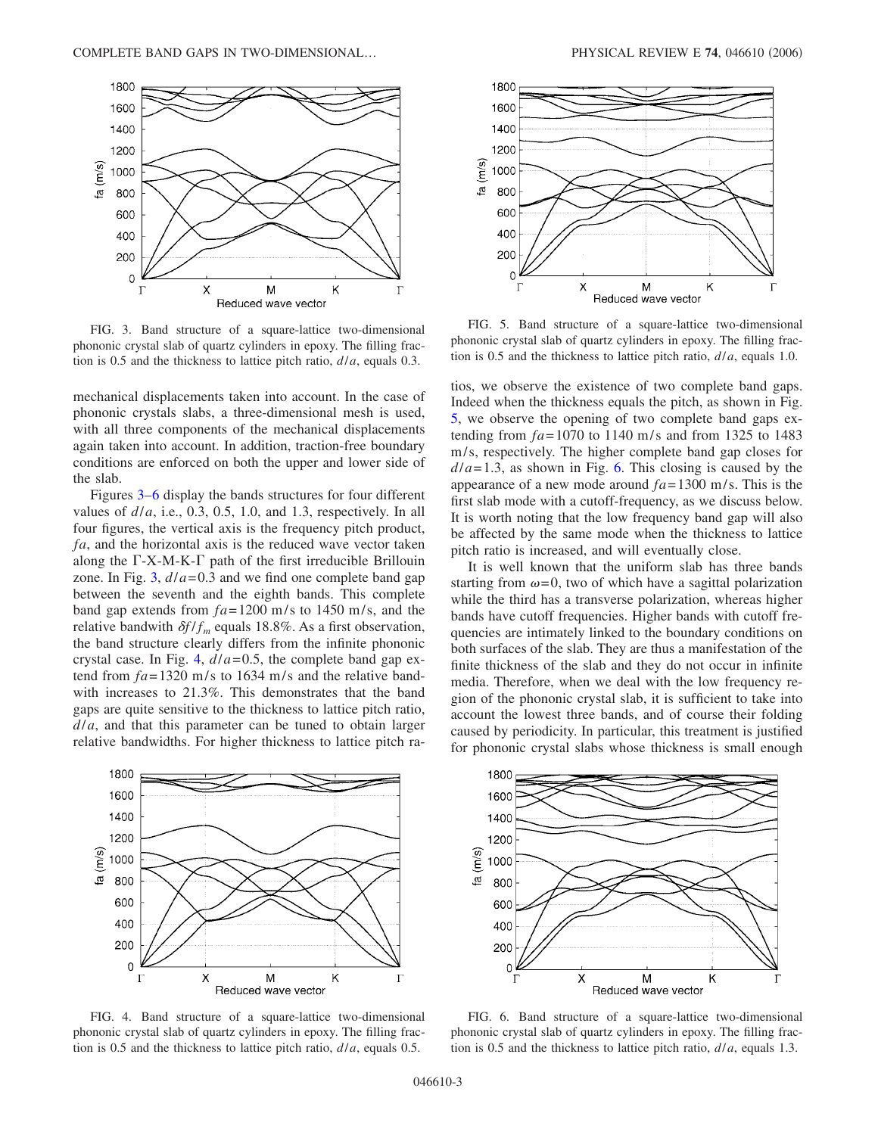<span id="page-2-0"></span>

FIG. 3. Band structure of a square-lattice two-dimensional phononic crystal slab of quartz cylinders in epoxy. The filling fraction is 0.5 and the thickness to lattice pitch ratio, *d*/*a*, equals 0.3.

mechanical displacements taken into account. In the case of phononic crystals slabs, a three-dimensional mesh is used, with all three components of the mechanical displacements again taken into account. In addition, traction-free boundary conditions are enforced on both the upper and lower side of the slab.

Figures [3–](#page-2-0)[6](#page-2-1) display the bands structures for four different values of *d*/*a*, i.e., 0.3, 0.5, 1.0, and 1.3, respectively. In all four figures, the vertical axis is the frequency pitch product, *fa*, and the horizontal axis is the reduced wave vector taken along the  $\Gamma$ -X-M-K- $\Gamma$  path of the first irreducible Brillouin zone. In Fig.  $3$ ,  $d/a = 0.3$  and we find one complete band gap between the seventh and the eighth bands. This complete band gap extends from  $fa = 1200$  m/s to 1450 m/s, and the relative bandwith  $\delta f/f_m$  equals 18.8%. As a first observation, the band structure clearly differs from the infinite phononic crystal case. In Fig. [4,](#page-2-2) *d*/*a*= 0.5, the complete band gap extend from  $fa = 1320$  m/s to 1634 m/s and the relative bandwith increases to 21.3%. This demonstrates that the band gaps are quite sensitive to the thickness to lattice pitch ratio, *d*/*a*, and that this parameter can be tuned to obtain larger relative bandwidths. For higher thickness to lattice pitch ra-

<span id="page-2-2"></span>

FIG. 4. Band structure of a square-lattice two-dimensional phononic crystal slab of quartz cylinders in epoxy. The filling fraction is 0.5 and the thickness to lattice pitch ratio, *d*/*a*, equals 0.5.

<span id="page-2-3"></span>

FIG. 5. Band structure of a square-lattice two-dimensional phononic crystal slab of quartz cylinders in epoxy. The filling fraction is 0.5 and the thickness to lattice pitch ratio, *d*/*a*, equals 1.0.

tios, we observe the existence of two complete band gaps. Indeed when the thickness equals the pitch, as shown in Fig. [5,](#page-2-3) we observe the opening of two complete band gaps extending from  $fa = 1070$  to 1140 m/s and from 1325 to 1483 m/s, respectively. The higher complete band gap closes for  $d/a = 1.3$ , as shown in Fig. [6.](#page-2-1) This closing is caused by the appearance of a new mode around  $fa = 1300$  m/s. This is the first slab mode with a cutoff-frequency, as we discuss below. It is worth noting that the low frequency band gap will also be affected by the same mode when the thickness to lattice pitch ratio is increased, and will eventually close.

It is well known that the uniform slab has three bands starting from  $\omega = 0$ , two of which have a sagittal polarization while the third has a transverse polarization, whereas higher bands have cutoff frequencies. Higher bands with cutoff frequencies are intimately linked to the boundary conditions on both surfaces of the slab. They are thus a manifestation of the finite thickness of the slab and they do not occur in infinite media. Therefore, when we deal with the low frequency region of the phononic crystal slab, it is sufficient to take into account the lowest three bands, and of course their folding caused by periodicity. In particular, this treatment is justified for phononic crystal slabs whose thickness is small enough

<span id="page-2-1"></span>

FIG. 6. Band structure of a square-lattice two-dimensional phononic crystal slab of quartz cylinders in epoxy. The filling fraction is 0.5 and the thickness to lattice pitch ratio, *d*/*a*, equals 1.3.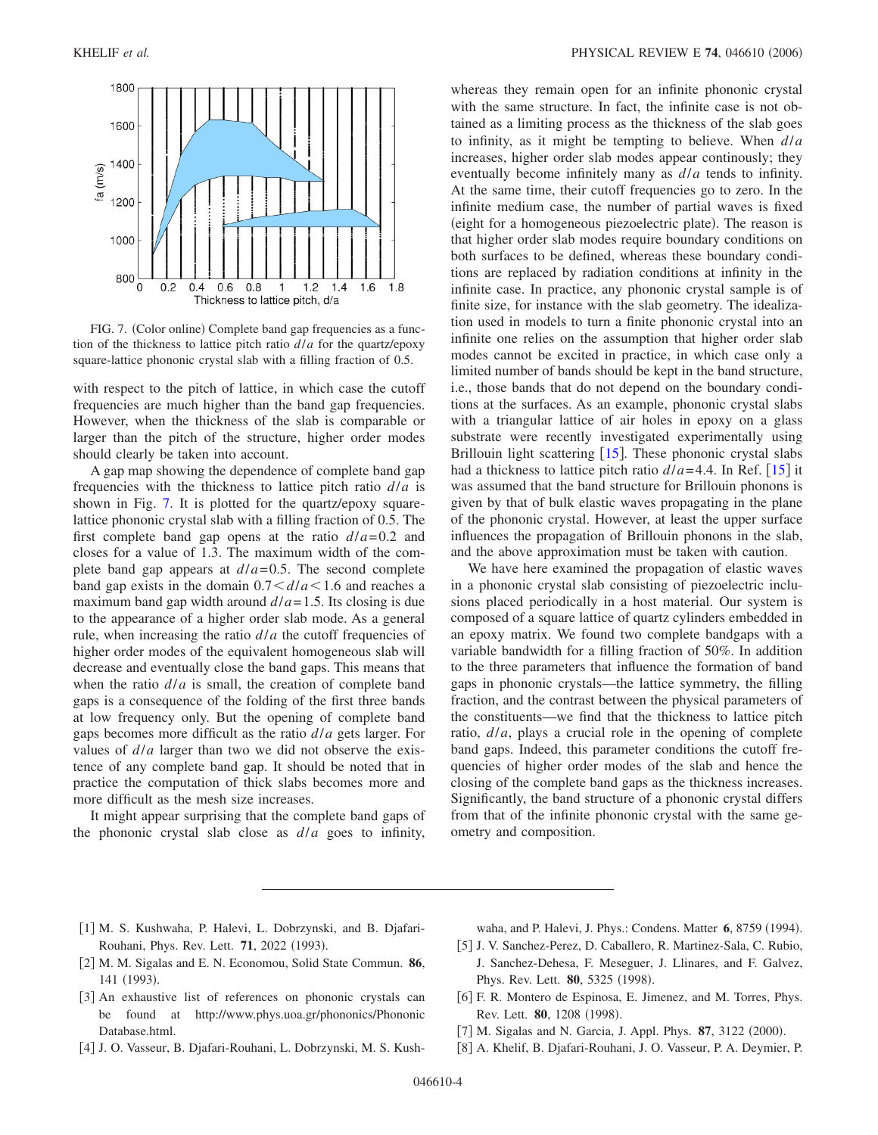<span id="page-3-4"></span>

FIG. 7. (Color online) Complete band gap frequencies as a function of the thickness to lattice pitch ratio *d*/*a* for the quartz/epoxy square-lattice phononic crystal slab with a filling fraction of 0.5.

with respect to the pitch of lattice, in which case the cutoff frequencies are much higher than the band gap frequencies. However, when the thickness of the slab is comparable or larger than the pitch of the structure, higher order modes should clearly be taken into account.

A gap map showing the dependence of complete band gap frequencies with the thickness to lattice pitch ratio *d*/*a* is shown in Fig. [7.](#page-3-4) It is plotted for the quartz/epoxy squarelattice phononic crystal slab with a filling fraction of 0.5. The first complete band gap opens at the ratio  $d/a = 0.2$  and closes for a value of 1.3. The maximum width of the complete band gap appears at *d*/*a*= 0.5. The second complete band gap exists in the domain  $0.7 < d/a < 1.6$  and reaches a maximum band gap width around *d*/*a*= 1.5. Its closing is due to the appearance of a higher order slab mode. As a general rule, when increasing the ratio  $d/a$  the cutoff frequencies of higher order modes of the equivalent homogeneous slab will decrease and eventually close the band gaps. This means that when the ratio  $d/a$  is small, the creation of complete band gaps is a consequence of the folding of the first three bands at low frequency only. But the opening of complete band gaps becomes more difficult as the ratio *d*/*a* gets larger. For values of *d*/*a* larger than two we did not observe the existence of any complete band gap. It should be noted that in practice the computation of thick slabs becomes more and more difficult as the mesh size increases.

It might appear surprising that the complete band gaps of the phononic crystal slab close as *d*/*a* goes to infinity, whereas they remain open for an infinite phononic crystal with the same structure. In fact, the infinite case is not obtained as a limiting process as the thickness of the slab goes to infinity, as it might be tempting to believe. When *d*/*a* increases, higher order slab modes appear continously; they eventually become infinitely many as *d*/*a* tends to infinity. At the same time, their cutoff frequencies go to zero. In the infinite medium case, the number of partial waves is fixed (eight for a homogeneous piezoelectric plate). The reason is that higher order slab modes require boundary conditions on both surfaces to be defined, whereas these boundary conditions are replaced by radiation conditions at infinity in the infinite case. In practice, any phononic crystal sample is of finite size, for instance with the slab geometry. The idealization used in models to turn a finite phononic crystal into an infinite one relies on the assumption that higher order slab modes cannot be excited in practice, in which case only a limited number of bands should be kept in the band structure, i.e., those bands that do not depend on the boundary conditions at the surfaces. As an example, phononic crystal slabs with a triangular lattice of air holes in epoxy on a glass substrate were recently investigated experimentally using Brillouin light scattering  $[15]$  $[15]$  $[15]$ . These phononic crystal slabs had a thickness to lattice pitch ratio  $d/a = 4.4$ . In Ref. [[15](#page-4-5)] it was assumed that the band structure for Brillouin phonons is given by that of bulk elastic waves propagating in the plane of the phononic crystal. However, at least the upper surface influences the propagation of Brillouin phonons in the slab, and the above approximation must be taken with caution.

We have here examined the propagation of elastic waves in a phononic crystal slab consisting of piezoelectric inclusions placed periodically in a host material. Our system is composed of a square lattice of quartz cylinders embedded in an epoxy matrix. We found two complete bandgaps with a variable bandwidth for a filling fraction of 50%. In addition to the three parameters that influence the formation of band gaps in phononic crystals—the lattice symmetry, the filling fraction, and the contrast between the physical parameters of the constituents—we find that the thickness to lattice pitch ratio, *d*/*a*, plays a crucial role in the opening of complete band gaps. Indeed, this parameter conditions the cutoff frequencies of higher order modes of the slab and hence the closing of the complete band gaps as the thickness increases. Significantly, the band structure of a phononic crystal differs from that of the infinite phononic crystal with the same geometry and composition.

- <span id="page-3-0"></span>[1] M. S. Kushwaha, P. Halevi, L. Dobrzynski, and B. Djafari-Rouhani, Phys. Rev. Lett. 71, 2022 (1993).
- <span id="page-3-1"></span>2 M. M. Sigalas and E. N. Economou, Solid State Commun. **86**, 141 (1993).
- <span id="page-3-2"></span>[3] An exhaustive list of references on phononic crystals can be found at http://www.phys.uoa.gr/phononics/Phononic Database.html.
- <span id="page-3-3"></span>4 J. O. Vasseur, B. Djafari-Rouhani, L. Dobrzynski, M. S. Kush-

waha, and P. Halevi, J. Phys.: Condens. Matter 6, 8759 (1994).

- 5 J. V. Sanchez-Perez, D. Caballero, R. Martinez-Sala, C. Rubio, J. Sanchez-Dehesa, F. Meseguer, J. Llinares, and F. Galvez, Phys. Rev. Lett. **80**, 5325 (1998).
- [6] F. R. Montero de Espinosa, E. Jimenez, and M. Torres, Phys. Rev. Lett. **80**, 1208 (1998).
- [7] M. Sigalas and N. Garcia, J. Appl. Phys. 87, 3122 (2000).
- 8 A. Khelif, B. Djafari-Rouhani, J. O. Vasseur, P. A. Deymier, P.